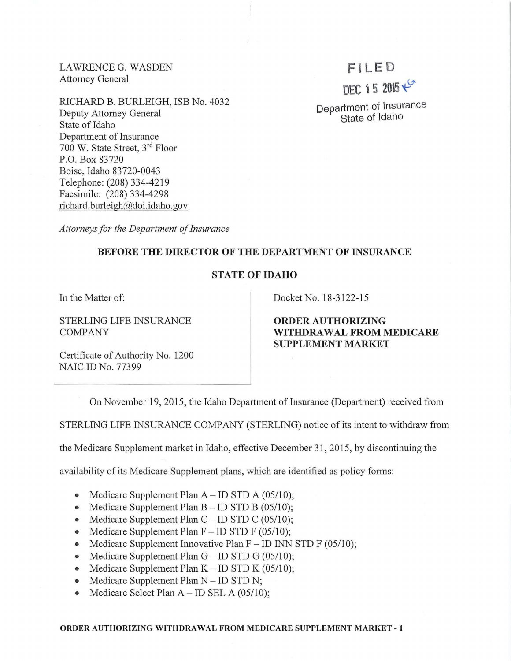LAWRENCE G. WASDEN Attorney General

RICHARD B. BURLEIGH, ISB No. 4032 Deputy Attorney General State of Idaho Department of Insurance 700 W. State Street, 3rd Floor P.O. Box 83720 Boise, Idaho 83720-0043 Telephone: (208) 334-4219 Facsimile: (208) 334-4298 richard. burleigh@doi.idaho.gov

# \F I LED

DEC 15 2015 $+$ 

Department of Insurance State of Idaho

*Attorneys for the Department of Insurance* 

# BEFORE THE DIRECTOR OF THE DEPARTMENT OF INSURANCE

# STATE OF IDAHO

STERLING LIFE INSURANCE COMPANY

Certificate of Authority No. 1200 NAIC ID No. 77399

In the Matter of:  $\qquad \qquad$  Docket No. 18-3122-15

ORDER AUTHORIZING WITHDRAWAL FROM MEDICARE SUPPLEMENT MARKET

On November 19, 2015, the Idaho Department of Insurance (Department) received from

STERLING LIFE INSURANCE COMPANY (STERLING) notice of its intent to withdraw from

the Medicare Supplement market in Idaho, effective December 31, 2015, by discontinuing the

availability of its Medicare Supplement plans, which are identified as policy forms:

- Medicare Supplement Plan  $A$  ID STD A (05/10);
- Medicare Supplement Plan  $B ID$  STD B (05/10);
- Medicare Supplement Plan  $C$  ID STD C (05/10);
- Medicare Supplement Plan  $F ID$  STD  $F$  (05/10);
- Medicare Supplement Innovative Plan  $F ID$  INN STD F (05/10);
- Medicare Supplement Plan  $G$  ID STD  $G$  (05/10);
- Medicare Supplement Plan  $K ID$  STD  $K$  (05/10);
- Medicare Supplement Plan  $N ID$  STD N;
- Medicare Select Plan  $A$  ID SEL A (05/10);

#### ORDER AUTHORIZING WITHDRAWAL FROM MEDICARE SUPPLEMENT MARKET - 1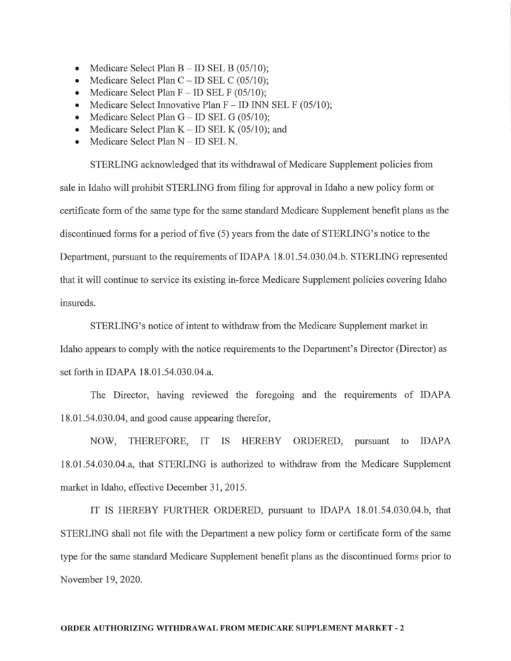- Medicare Select Plan  $B$  ID SEL B (05/10);
- Medicare Select Plan  $C$  ID SEL C (05/10);
- Medicare Select Plan  $F ID$  SEL  $F (05/10)$ ;
- Medicare Select Innovative Plan  $F ID$  INN SEL F (05/10);
- Medicare Select Plan  $G$  ID SEL  $G$  (05/10);
- Medicare Select Plan  $K$  ID SEL K (05/10); and
- Medicare Select Plan N ID SEL N.

STERLING acknowledged that its withdrawal of Medicare Supplement policies from sale in Idaho will prohibit STERLING from filing for approval in Idaho a new policy form or certificate form of the same type for the same standard Medicare Supplement benefit plans as the discontinued forms for a period of five (5) years from the date of STERLING's notice to the Department, pursuant to the requirements of IDAPA 18.01.54.030.04.b. STERLING represented that it will continue to service its existing in-force Medicare Supplement policies covering Idaho insureds.

STERLING's notice of intent to withdraw from the Medicare Supplement market in Idaho appears to comply with the notice requirements to the Department's Director (Director) as set forth in IDAPA 18.01.54.030.04.a.

The Director, having reviewed the foregoing and the requirements of IDAPA 18.01.54.030.04, and good cause appearing therefor,

NOW, THEREFORE, IT IS HEREBY ORDERED, pursuant to IDAPA 18.01.54.030.04.a, that STERLING is authorized to withdraw from the Medicare Supplement market in Idaho, effective December 31, 2015.

IT IS HEREBY FURTHER ORDERED, pursuant to IDAPA 18.01.54.030.04.b, that STERLING shall not file with the Department a new policy form or certificate form of the same type for the same standard Medicare Supplement benefit plans as the discontinued forms prior to November 19, 2020.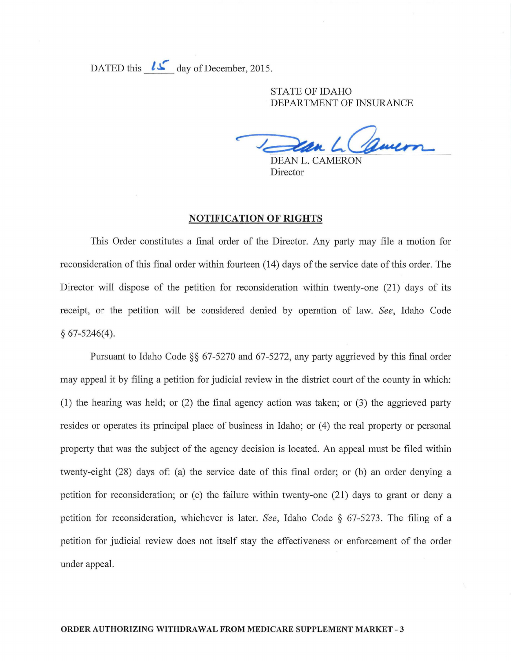DATED this  $l\mathcal{L}$  day of December, 2015.

STATE OF IDAHO DEPARTMENT OF INSURANCE

DEAN L. CAMERON

Director

## **NOTIFICATION OF RIGHTS**

This Order constitutes a final order of the Director. Any party may file a motion for reconsideration of this final order within fomteen (14) days of the service date of this order. The Director will dispose of the petition for reconsideration within twenty-one (21) days of its receipt, or the petition will be considered denied by operation of law. *See,* Idaho Code § 67-5246(4).

Pursuant to Idaho Code  $\S$ § 67-5270 and 67-5272, any party aggrieved by this final order may appeal it by filing a petition for judicial review in the district court of the county in which: (1) the hearing was held; or  $(2)$  the final agency action was taken; or  $(3)$  the aggrieved party resides or operates its principal place of business in Idaho; or (4) the real property or personal property that was the subject of the agency decision is located. An appeal must be filed within twenty-eight (28) days of: (a) the service date of this final order; or (b) an order denying a petition for reconsideration; or (c) the failure within twenty-one (21) days to grant or deny a petition for reconsideration, whichever is later. *See,* Idaho Code § 67-5273 . The filing of a petition for judicial review does not itself stay the effectiveness or enforcement of the order under appeal.

## **ORDER AUTHORIZING WITHDRAWAL FROM MEDICARE SUPPLEMENT MARKET** - 3